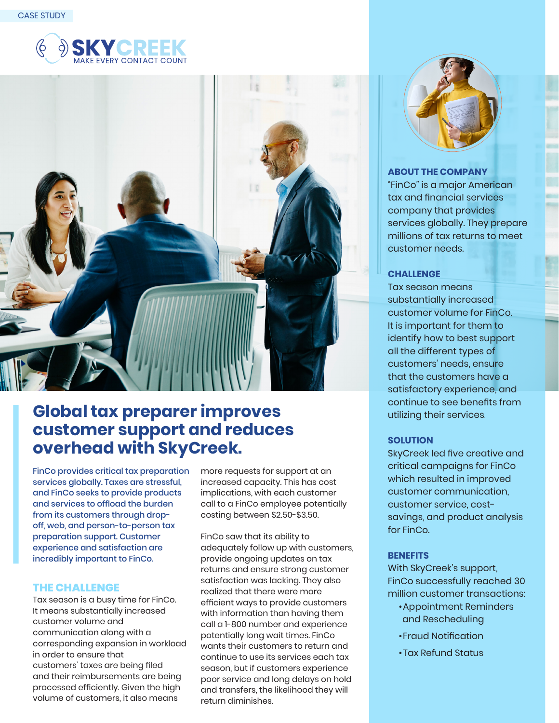



# **Global tax preparer improves customer support and reduces overhead with SkyCreek.**

FinCo provides critical tax preparation services globally. Taxes are stressful, and FinCo seeks to provide products and services to offload the burden from its customers through dropoff, web, and person-to-person tax preparation support. Customer experience and satisfaction are incredibly important to FinCo.

## **THE CHALLENGE**

Tax season is a busy time for FinCo. It means substantially increased customer volume and communication along with a corresponding expansion in workload in order to ensure that customers' taxes are being filed and their reimbursements are being processed efficiently. Given the high volume of customers, it also means

more requests for support at an increased capacity. This has cost implications, with each customer call to a FinCo employee potentially costing between \$2.50-\$3.50.

FinCo saw that its ability to adequately follow up with customers, provide ongoing updates on tax returns and ensure strong customer satisfaction was lacking. They also realized that there were more efficient ways to provide customers with information than having them call a 1-800 number and experience potentially long wait times. FinCo wants their customers to return and continue to use its services each tax season, but if customers experience poor service and long delays on hold and transfers, the likelihood they will return diminishes.



## **ABOUT THE COMPANY**

"FinCo" is a major American tax and financial services company that provides services globally. They prepare millions of tax returns to meet customer needs.

## **CHALLENGE**

Tax season means substantially increased customer volume for FinCo. It is important for them to identify how to best support all the different types of customers' needs, ensure that the customers have a satisfactory experience, and continue to see benefits from utilizing their services.

#### **SOLUTION**

SkyCreek led five creative and critical campaigns for FinCo which resulted in improved customer communication, customer service, costsavings, and product analysis for FinCo.

#### **BENEFITS**

With SkyCreek's support, FinCo successfully reached 30 million customer transactions:

- Appointment Reminders and Rescheduling
- Fraud Notification
- Tax Refund Status